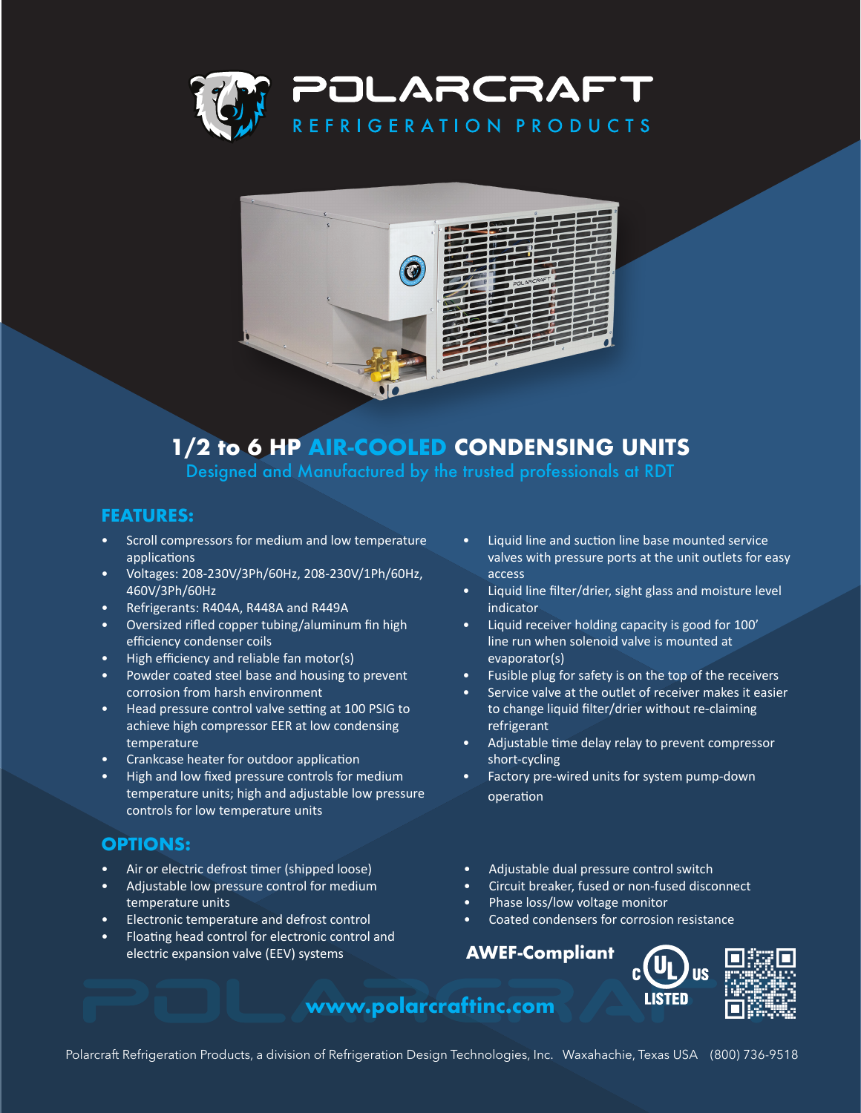



# **1/2 to 6 HP AIR-COOLED CONDENSING UNITS**

Designed and Manufactured by the trusted professionals at RDT

#### **FEATURES:**

- Scroll compressors for medium and low temperature applications
- Voltages: 208-230V/3Ph/60Hz, 208-230V/1Ph/60Hz, 460V/3Ph/60Hz
- Refrigerants: R404A, R448A and R449A
- Oversized rifled copper tubing/aluminum fin high efficiency condenser coils
- High efficiency and reliable fan motor(s)
- Powder coated steel base and housing to prevent corrosion from harsh environment
- Head pressure control valve setting at 100 PSIG to achieve high compressor EER at low condensing temperature
- Crankcase heater for outdoor application
- High and low fixed pressure controls for medium temperature units; high and adjustable low pressure controls for low temperature units

### **OPTIONS:**

- Air or electric defrost timer (shipped loose)
- Adjustable low pressure control for medium temperature units
- Electronic temperature and defrost control
- Floating head control for electronic control and electric expansion valve (EEV) systems
- Liquid line and suction line base mounted service valves with pressure ports at the unit outlets for easy access
- Liquid line filter/drier, sight glass and moisture level indicator
- Liquid receiver holding capacity is good for 100' line run when solenoid valve is mounted at evaporator(s)
- Fusible plug for safety is on the top of the receivers
- Service valve at the outlet of receiver makes it easier to change liquid filter/drier without re-claiming refrigerant
- Adjustable time delay relay to prevent compressor short-cycling
- Factory pre-wired units for system pump-down operation
- Adjustable dual pressure control switch
- Circuit breaker, fused or non-fused disconnect
- Phase loss/low voltage monitor
- Coated condensers for corrosion resistance

### **AWEF-Compliant**





## **www.polarcraftinc.com**